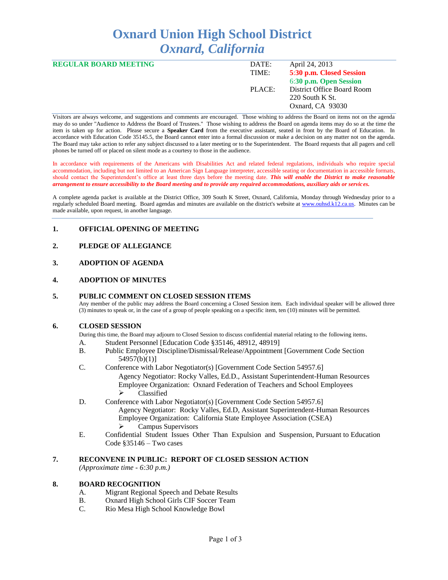# **Oxnard Union High School District** *Oxnard, California*

| <b>REGULAR BOARD MEETING</b> | DATE:  | April 24, 2013             |
|------------------------------|--------|----------------------------|
|                              | TIME:  | 5:30 p.m. Closed Session   |
|                              |        | 6:30 p.m. Open Session     |
|                              | PLACE: | District Office Board Room |
|                              |        | $220$ South K St.          |
|                              |        | Oxnard, CA 93030           |
|                              |        |                            |

Visitors are always welcome, and suggestions and comments are encouraged. Those wishing to address the Board on items not on the agenda may do so under "Audience to Address the Board of Trustees." Those wishing to address the Board on agenda items may do so at the time the item is taken up for action. Please secure a **Speaker Card** from the executive assistant, seated in front by the Board of Education. In accordance with Education Code 35145.5, the Board cannot enter into a formal discussion or make a decision on any matter not on the agenda. The Board may take action to refer any subject discussed to a later meeting or to the Superintendent. The Board requests that all pagers and cell phones be turned off or placed on silent mode as a courtesy to those in the audience.

In accordance with requirements of the Americans with Disabilities Act and related federal regulations, individuals who require special accommodation, including but not limited to an American Sign Language interpreter, accessible seating or documentation in accessible formats, should contact the Superintendent's office at least three days before the meeting date. *This will enable the District to make reasonable arrangement to ensure accessibility to the Board meeting and to provide any required accommodations, auxiliary aids or services.* 

A complete agenda packet is available at the District Office, 309 South K Street, Oxnard, California, Monday through Wednesday prior to a regularly scheduled Board meeting. Board agendas and minutes are available on the district's website at [www.ouhsd.k12.ca.us.](http://www.ouhsd.k12.ca.us/)Minutes can be made available, upon request, in another language.

# **1. OFFICIAL OPENING OF MEETING**

# **2. PLEDGE OF ALLEGIANCE**

# **3. ADOPTION OF AGENDA**

#### **4. ADOPTION OF MINUTES**

#### **5. PUBLIC COMMENT ON CLOSED SESSION ITEMS**

Any member of the public may address the Board concerning a Closed Session item. Each individual speaker will be allowed three (3) minutes to speak or, in the case of a group of people speaking on a specific item, ten (10) minutes will be permitted.

#### **6. CLOSED SESSION**

During this time, the Board may adjourn to Closed Session to discuss confidential material relating to the following items.

- A. Student Personnel [Education Code §35146, 48912, 48919]
- B. Public Employee Discipline/Dismissal/Release/Appointment [Government Code Section 54957(b)(1)]
- C. Conference with Labor Negotiator(s) [Government Code Section 54957.6]

Agency Negotiator: Rocky Valles, Ed.D., Assistant Superintendent-Human Resources Employee Organization: Oxnard Federation of Teachers and School Employees > Classified

- D. Conference with Labor Negotiator(s) [Government Code Section 54957.6] Agency Negotiator: Rocky Valles, Ed.D, Assistant Superintendent-Human Resources Employee Organization: California State Employee Association (CSEA)  $\triangleright$  Campus Supervisors
- E. Confidential Student Issues Other Than Expulsion and Suspension, Pursuant to Education Code §35146 – Two cases

# **7. RECONVENE IN PUBLIC: REPORT OF CLOSED SESSION ACTION**

*(Approximate time - 6:30 p.m.)*

#### **8. BOARD RECOGNITION**

- A. Migrant Regional Speech and Debate Results
- B. Oxnard High School Girls CIF Soccer Team
- C. Rio Mesa High School Knowledge Bowl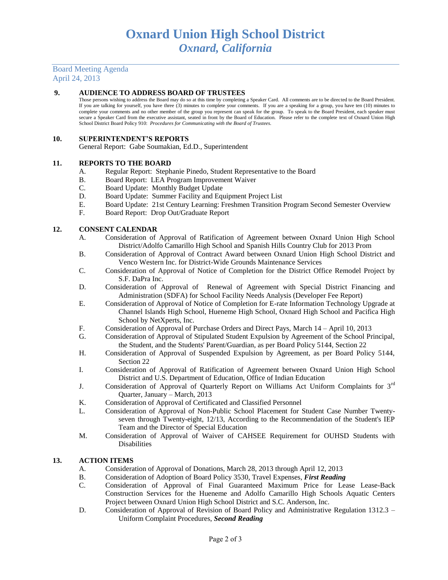Board Meeting Agenda April 24, 2013

#### **9. AUDIENCE TO ADDRESS BOARD OF TRUSTEES**

Those persons wishing to address the Board may do so at this time by completing a Speaker Card. All comments are to be directed to the Board President. If you are talking for yourself, you have three (3) minutes to complete your comments. If you are a speaking for a group, you have ten (10) minutes to complete your comments and no other member of the group you represent can speak for the group. To speak to the Board President, each speaker must secure a Speaker Card from the executive assistant, seated in front by the Board of Education. Please refer to the complete text of Oxnard Union High School District Board Policy 910: *Procedures for Communicating with the Board of Trustees.*

#### **10. SUPERINTENDENT'S REPORTS**

General Report: Gabe Soumakian, Ed.D., Superintendent

#### **11. REPORTS TO THE BOARD**

- A. Regular Report: Stephanie Pinedo, Student Representative to the Board
- B. Board Report: LEA Program Improvement Waiver
- C. Board Update: Monthly Budget Update
- D. Board Update: Summer Facility and Equipment Project List
- E. Board Update: 21st Century Learning: Freshmen Transition Program Second Semester Overview
- F. Board Report: Drop Out/Graduate Report

#### **12. CONSENT CALENDAR**

- A. Consideration of Approval of Ratification of Agreement between Oxnard Union High School District/Adolfo Camarillo High School and Spanish Hills Country Club for 2013 Prom
- B. Consideration of Approval of Contract Award between Oxnard Union High School District and Venco Western Inc. for District-Wide Grounds Maintenance Services
- C. Consideration of Approval of Notice of Completion for the District Office Remodel Project by S.F. DaPra Inc.
- D. Consideration of Approval of Renewal of Agreement with Special District Financing and Administration (SDFA) for School Facility Needs Analysis (Developer Fee Report)
- E. Consideration of Approval of Notice of Completion for E-rate Information Technology Upgrade at Channel Islands High School, Hueneme High School, Oxnard High School and Pacifica High School by NetXperts, Inc.
- F. Consideration of Approval of Purchase Orders and Direct Pays, March 14 April 10, 2013
- G. Consideration of Approval of Stipulated Student Expulsion by Agreement of the School Principal, the Student, and the Students' Parent/Guardian, as per Board Policy 5144, Section 22
- H. Consideration of Approval of Suspended Expulsion by Agreement, as per Board Policy 5144, Section 22
- I. Consideration of Approval of Ratification of Agreement between Oxnard Union High School District and U.S. Department of Education, Office of Indian Education
- J. Consideration of Approval of Quarterly Report on Williams Act Uniform Complaints for 3<sup>rd</sup> Quarter, January – March, 2013
- K. Consideration of Approval of Certificated and Classified Personnel
- L. Consideration of Approval of Non-Public School Placement for Student Case Number Twentyseven through Twenty-eight, 12/13, According to the Recommendation of the Student's IEP Team and the Director of Special Education
- M. Consideration of Approval of Waiver of CAHSEE Requirement for OUHSD Students with Disabilities

#### **13. ACTION ITEMS**

- A. Consideration of Approval of Donations, March 28, 2013 through April 12, 2013
- B. Consideration of Adoption of Board Policy 3530, Travel Expenses, *First Reading*
- C. Consideration of Approval of Final Guaranteed Maximum Price for Lease Lease-Back Construction Services for the Hueneme and Adolfo Camarillo High Schools Aquatic Centers Project between Oxnard Union High School District and S.C. Anderson, Inc.
- D. Consideration of Approval of Revision of Board Policy and Administrative Regulation 1312.3 Uniform Complaint Procedures, *Second Reading*